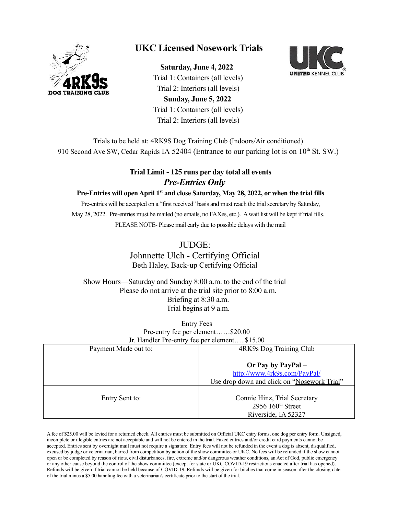

# **UKC Licensed Nosework Trials**

 **Saturday, June 4, 2022** Trial 1: Containers (all levels) Trial 2: Interiors (all levels) **Sunday, June 5, 2022** Trial 1: Containers (all levels) Trial 2: Interiors (all levels)



Trials to be held at: 4RK9S Dog Training Club (Indoors/Air conditioned) 910 Second Ave SW, Cedar Rapids IA 52404 (Entrance to our parking lot is on  $10^{th}$  St. SW.)

### **Trial Limit - 125 runs per day total all events** *Pre-Entries Only*

#### **Pre-Entries will open April 1st and close Saturday, May 28, 2022, or when the trial fills**

Pre-entries will be accepted on a "first received" basis and must reach the trial secretary by Saturday, May 28, 2022. Pre-entries must be mailed (no emails, no FAXes, etc.). A wait list will be kept if trial fills. PLEASE NOTE- Please mail early due to possible delays with the mail

### JUDGE:

Johnnette Ulch - Certifying Official Beth Haley, Back-up Certifying Official

 Show Hours—Saturday and Sunday 8:00 a.m. to the end of the trial Please do not arrive at the trial site prior to 8:00 a.m. Briefing at 8:30 a.m. Trial begins at 9 a.m.

> Entry Fees Pre-entry fee per element……\$20.00 Jr. Handler Pre-entry fee per element…..\$15.00

| $J1.$ Handier TTC-Chin y TCC pci Cicincin $919.00$ |                                                                            |
|----------------------------------------------------|----------------------------------------------------------------------------|
| Payment Made out to:                               | 4RK9s Dog Training Club                                                    |
|                                                    | Or Pay by PayPal $-$<br>http://www.4rk9s.com/PayPal/                       |
|                                                    | Use drop down and click on "Nosework Trial"                                |
| Entry Sent to:                                     | Connie Hinz, Trial Secretary<br>2956 $160th$ Street<br>Riverside, IA 52327 |

A fee of \$25.00 will be levied for a returned check. All entries must be submitted on Official UKC entry forms, one dog per entry form. Unsigned, incomplete or illegible entries are not acceptable and will not be entered in the trial. Faxed entries and/or credit card payments cannot be accepted. Entries sent by overnight mail must not require a signature. Entry fees will not be refunded in the event a dog is absent, disqualified, excused by judge or veterinarian, barred from competition by action of the show committee or UKC. No fees will be refunded if the show cannot open or be completed by reason of riots, civil disturbances, fire, extreme and/or dangerous weather conditions, an Act of God, public emergency or any other cause beyond the control of the show committee (except for state or UKC COVID-19 restrictions enacted after trial has opened). Refunds will be given if trial cannot be held because of COVID-19. Refunds will be given for bitches that come in season after the closing date of the trial minus a \$5.00 handling fee with a veterinarian's certificate prior to the start of the trial.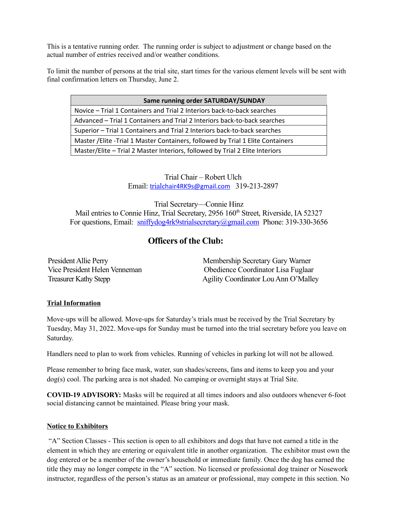This is a tentative running order. The running order is subject to adjustment or change based on the actual number of entries received and/or weather conditions.

To limit the number of persons at the trial site, start times for the various element levels will be sent with final confirmation letters on Thursday, June 2.

| Same running order SATURDAY/SUNDAY                                               |  |
|----------------------------------------------------------------------------------|--|
| Novice - Trial 1 Containers and Trial 2 Interiors back-to-back searches          |  |
| Advanced - Trial 1 Containers and Trial 2 Interiors back-to-back searches        |  |
| Superior - Trial 1 Containers and Trial 2 Interiors back-to-back searches        |  |
| Master / Elite - Trial 1 Master Containers, followed by Trial 1 Elite Containers |  |
| Master/Elite - Trial 2 Master Interiors, followed by Trial 2 Elite Interiors     |  |
|                                                                                  |  |

Trial Chair – Robert Ulch Email: trial[chair4RK9s@gmail.com](mailto:trialchair4RK9s@gmail.com) 319-213-2897

Trial Secretary—Connie Hinz

Mail entries to Connie Hinz, Trial Secretary, 2956 160<sup>th</sup> Street, Riverside, IA 52327 For questions, Email: [sniffydog4rk9strialsecretary@gmail.com](mailto:sniffydog4rk9strialsecretary@gmail.com) Phone: 319-330-3656

## **Officers of the Club:**

President Allie Perry The Membership Secretary Gary Warner Vice President Helen Venneman Obedience Coordinator Lisa Fuglaar Treasurer Kathy Stepp **Agility Coordinator Lou Ann O'Malley** 

#### **Trial Information**

Move-ups will be allowed. Move-ups for Saturday's trials must be received by the Trial Secretary by Tuesday, May 31, 2022. Move-ups for Sunday must be turned into the trial secretary before you leave on Saturday.

Handlers need to plan to work from vehicles. Running of vehicles in parking lot will not be allowed.

Please remember to bring face mask, water, sun shades/screens, fans and items to keep you and your dog(s) cool. The parking area is not shaded. No camping or overnight stays at Trial Site.

**COVID-19 ADVISORY:** Masks will be required at all times indoors and also outdoors whenever 6-foot social distancing cannot be maintained. Please bring your mask.

#### **Notice to Exhibitors**

 "A" Section Classes - This section is open to all exhibitors and dogs that have not earned a title in the element in which they are entering or equivalent title in another organization. The exhibitor must own the dog entered or be a member of the owner's household or immediate family. Once the dog has earned the title they may no longer compete in the "A" section. No licensed or professional dog trainer or Nosework instructor, regardless of the person's status as an amateur or professional, may compete in this section. No